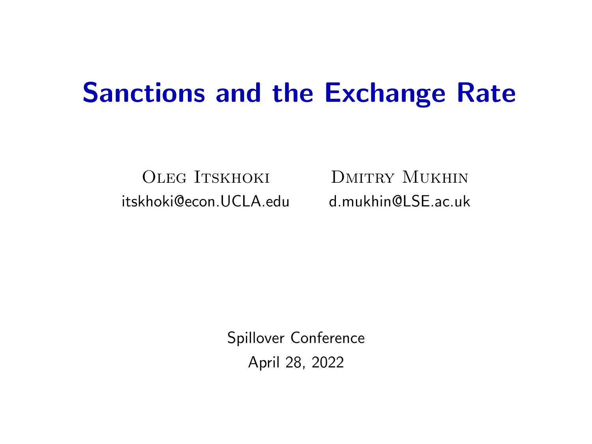## Sanctions and the Exchange Rate

OLEG ITSKHOKI DMITRY MUKHIN [itskhoki@econ.UCLA.edu](mailto:itskhoki@econ.ucla.edu) [d.mukhin@LSE.ac.uk](mailto:d.mukhin@lse.ac.uk)

Spillover Conference April 28, 2022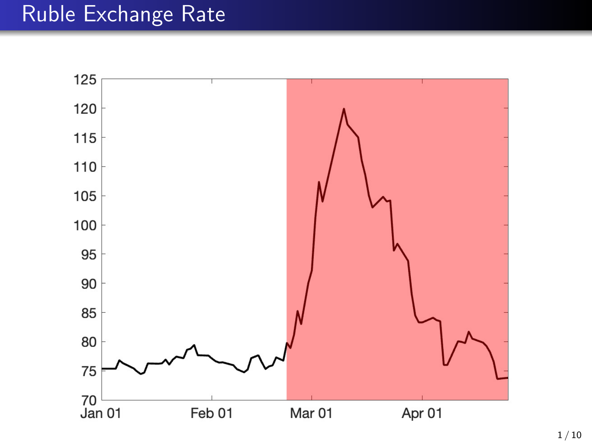## Ruble Exchange Rate

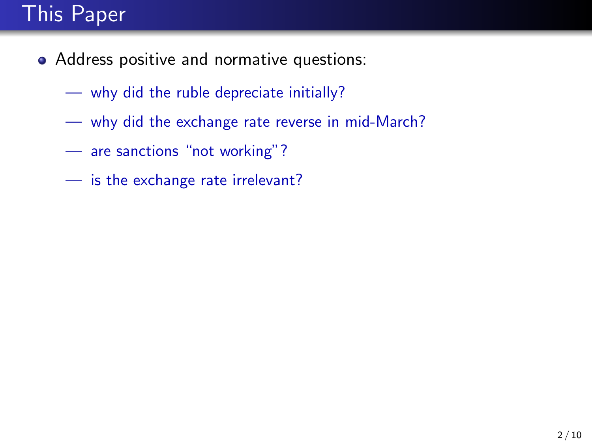## This Paper

- Address positive and normative questions:
	- why did the ruble depreciate initially?
	- why did the exchange rate reverse in mid-March?
	- are sanctions "not working"?
	- is the exchange rate irrelevant?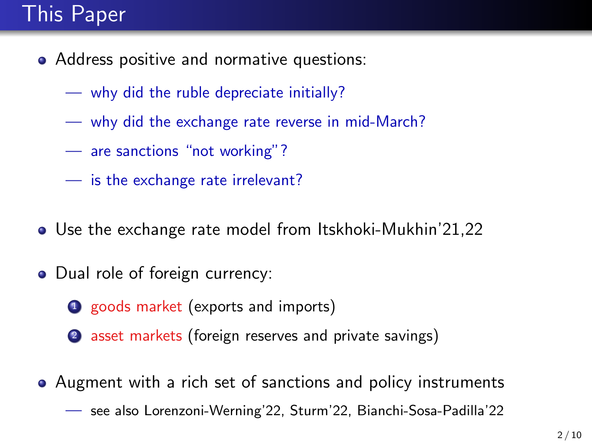## This Paper

- Address positive and normative questions:
	- why did the ruble depreciate initially?
	- why did the exchange rate reverse in mid-March?
	- are sanctions "not working"?
	- is the exchange rate irrelevant?
- Use the exchange rate model from Itskhoki-Mukhin'21,22
- Dual role of foreign currency:
	- **1** goods market (exports and imports)
	- 2 asset markets (foreign reserves and private savings)
- Augment with a rich set of sanctions and policy instruments — see also Lorenzoni-Werning'22, Sturm'22, Bianchi-Sosa-Padilla'22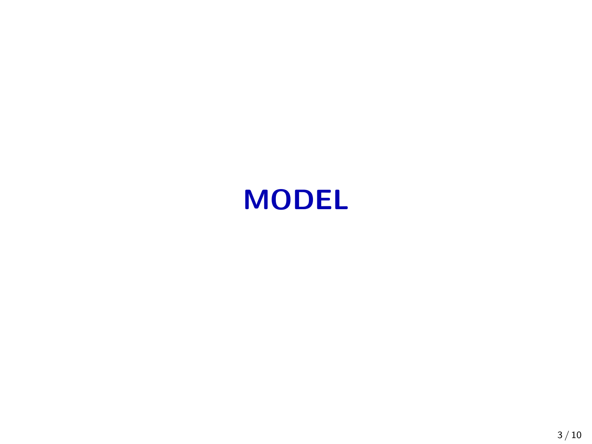## MODEL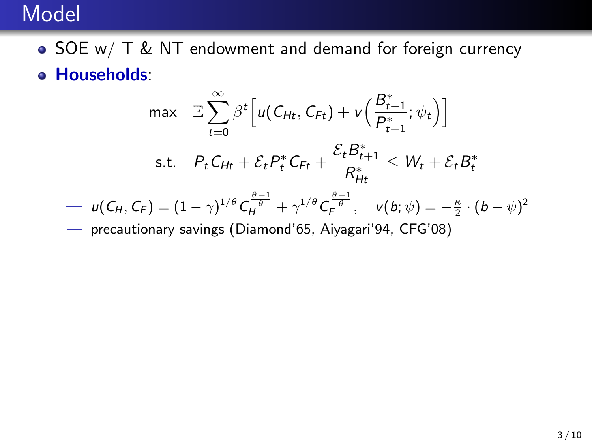#### Model

- SOE w/ T & NT endowment and demand for foreign currency
- Households:

$$
\max \mathbb{E} \sum_{t=0}^{\infty} \beta^{t} \Big[ u(C_{Ht}, C_{Ft}) + v\Big(\frac{B_{t+1}^{*}}{P_{t+1}^{*}}; \psi_{t}\Big) \Big]
$$
  
s.t.  $P_{t} C_{Ht} + \mathcal{E}_{t} P_{t}^{*} C_{Ft} + \frac{\mathcal{E}_{t} B_{t+1}^{*}}{R_{Ht}^{*}} \leq W_{t} + \mathcal{E}_{t} B_{t}^{*}$ 

$$
-u(C_H, C_F) = (1 - \gamma)^{1/\theta} C_H^{\frac{\theta - 1}{\theta}} + \gamma^{1/\theta} C_F^{\frac{\theta - 1}{\theta}}, \quad v(b; \psi) = -\frac{\kappa}{2} \cdot (b - \psi)^2
$$

precautionary savings (Diamond'65, Aiyagari'94, CFG'08)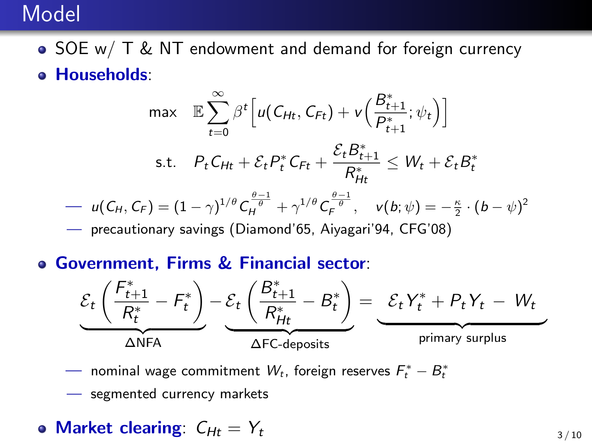#### Model

- SOE w/ T & NT endowment and demand for foreign currency
- Households:

$$
\max \mathbb{E} \sum_{t=0}^{\infty} \beta^{t} \Big[ u(C_{Ht}, C_{Ft}) + v\Big(\frac{B_{t+1}^{*}}{P_{t+1}^{*}}; \psi_{t}\Big) \Big]
$$
  
s.t.  $P_{t}C_{Ht} + \mathcal{E}_{t}P_{t}^{*}C_{Ft} + \frac{\mathcal{E}_{t}B_{t+1}^{*}}{R_{Ht}^{*}} \leq W_{t} + \mathcal{E}_{t}B_{t}^{*}$   

$$
- u(C_{H}, C_{F}) = (1 - \gamma)^{1/\theta} C_{H}^{\frac{\theta-1}{\theta}} + \gamma^{1/\theta} C_{F}^{\frac{\theta-1}{\theta}}, \quad v(b; \psi) = -\frac{\kappa}{2} \cdot (b - \psi)^{2}
$$

precautionary savings (Diamond'65, Aiyagari'94, CFG'08)

Government, Firms & Financial sector:



 $-$  nominal wage commitment  $W_t$ , foreign reserves  $F_t^* - B_t^*$ 

— segmented currency markets

• Market clearing: 
$$
C_{Ht} = Y_t
$$
 3/10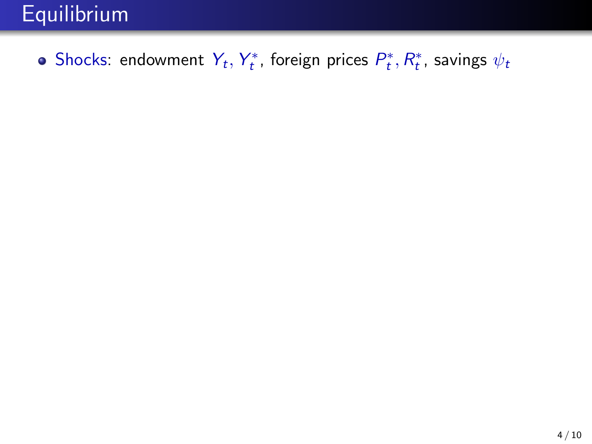## Equilibrium

Shocks: endowment  $Y_t, Y_t^*$ , foreign prices  $P_t^*, R_t^*$ , savings  $\psi_t$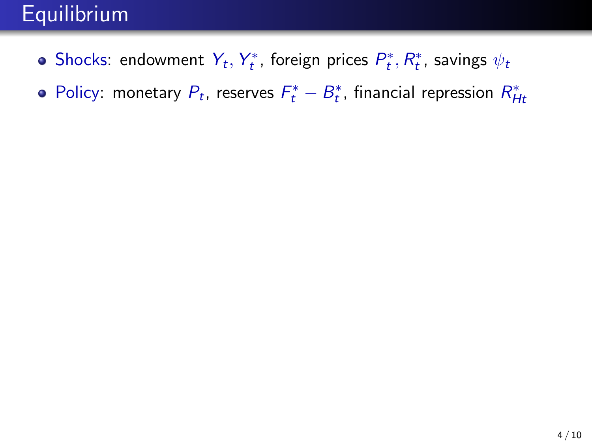## **Equilibrium**

- Shocks: endowment  $Y_t, Y_t^*$ , foreign prices  $P_t^*, R_t^*$ , savings  $\psi_t$
- Policy: monetary  $P_t$ , reserves  $F_t^* B_t^*$ , financial repression  $R_{Ht}^*$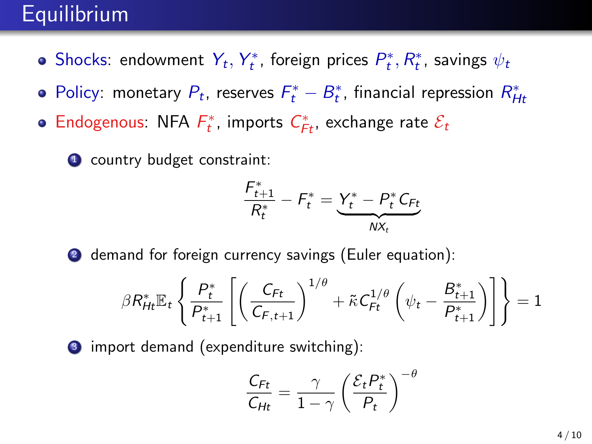### **Equilibrium**

- Shocks: endowment  $Y_t, Y_t^*$ , foreign prices  $P_t^*, R_t^*$ , savings  $\psi_t$
- Policy: monetary  $P_t$ , reserves  $F_t^* B_t^*$ , financial repression  $R_{Ht}^*$
- Endogenous: NFA  $F_t^*$ , imports  $C_{F_t}^*$ , exchange rate  $\mathcal{E}_t$

**1** country budget constraint:

$$
\frac{F_{t+1}^*}{R_t^*} - F_t^* = \underbrace{Y_t^* - P_t^* C_{Ft}}_{N X_t}
$$

2 demand for foreign currency savings (Euler equation):

$$
\beta R_{Ht}^* \mathbb{E}_t \left\{ \frac{P_t^*}{P_{t+1}^*} \left[ \left( \frac{C_{Ft}}{C_{F,t+1}} \right)^{1/\theta} + \tilde{\kappa} C_{Ft}^{1/\theta} \left( \psi_t - \frac{B_{t+1}^*}{P_{t+1}^*} \right) \right] \right\} = 1
$$

**3** import demand (expenditure switching):

$$
\frac{C_{Ft}}{C_{Ht}} = \frac{\gamma}{1-\gamma} \left(\frac{\mathcal{E}_t P_t^*}{P_t}\right)^{-\theta}
$$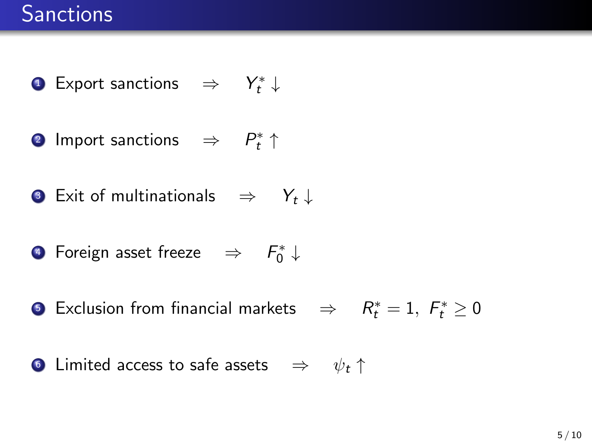- **1** Export sanctions  $\Rightarrow Y_t^* \downarrow$
- **2** Import sanctions  $\Rightarrow$   $P_t^* \uparrow$
- **3** Exit of multinationals  $\Rightarrow Y_t \downarrow$
- $\bullet$  Foreign asset freeze  $\Rightarrow$   $F_0^*\downarrow$
- § Exclusion from financial markets  $\Rightarrow$   $R_t^* = 1, F_t^* \geq 0$
- **Limited access to safe assets**  $\Rightarrow \psi_t$  ↑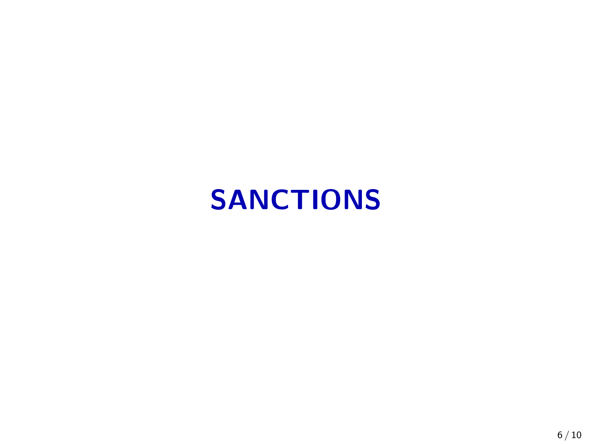# SANCTIONS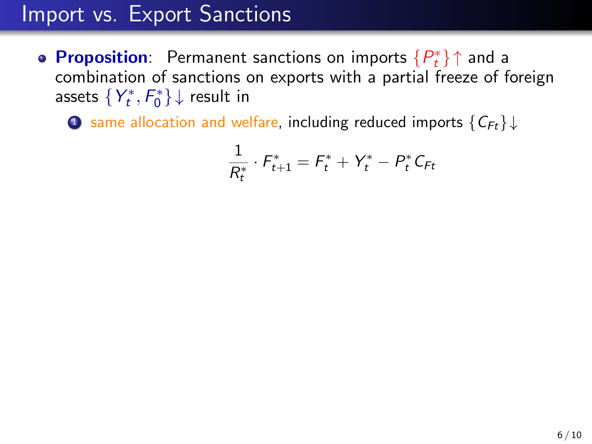**Proposition:** Permanent sanctions on imports  $\{P_t^*\}\uparrow$  and a combination of sanctions on exports with a partial freeze of foreign assets  $\{Y_t^*,F_0^*\}\downarrow$  result in

**1** same allocation and welfare, including reduced imports  $\{C_{Ft}\}\downarrow$ 

$$
\frac{1}{R_t^*} \cdot F_{t+1}^* = F_t^* + Y_t^* - P_t^* C_{F_t}
$$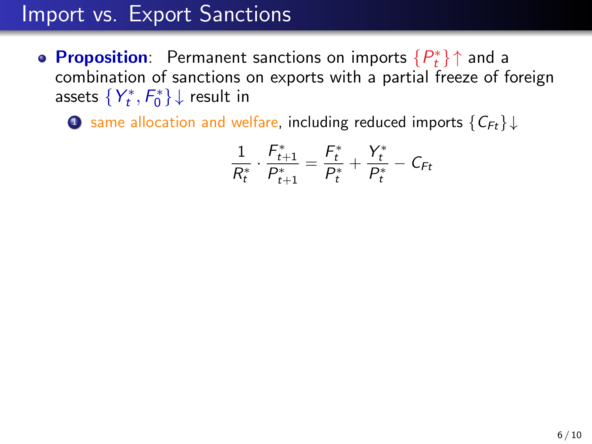**Proposition:** Permanent sanctions on imports  $\{P_t^*\}\uparrow$  and a combination of sanctions on exports with a partial freeze of foreign assets  $\{Y_t^*,F_0^*\}\downarrow$  result in

**1** same allocation and welfare, including reduced imports  $\{C_{Ft}\}\downarrow$ 

$$
\frac{1}{R_t^*} \cdot \frac{F_{t+1}^*}{P_{t+1}^*} = \frac{F_t^*}{P_t^*} + \frac{Y_t^*}{P_t^*} - C_{Ft}
$$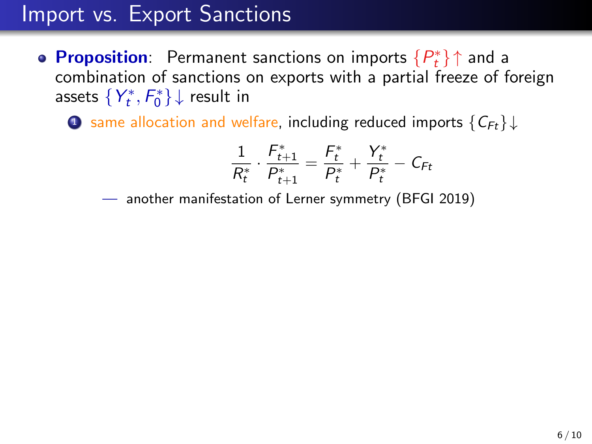**Proposition:** Permanent sanctions on imports  $\{P_t^*\}\uparrow$  and a combination of sanctions on exports with a partial freeze of foreign assets  $\{Y_t^*,F_0^*\}\downarrow$  result in

**1** same allocation and welfare, including reduced imports  ${C_{F_t}} \downarrow$ 

$$
\frac{1}{R_t^*} \cdot \frac{F_{t+1}^*}{P_{t+1}^*} = \frac{F_t^*}{P_t^*} + \frac{Y_t^*}{P_t^*} - C_{Ft}
$$

— another manifestation of Lerner symmetry (BFGI 2019)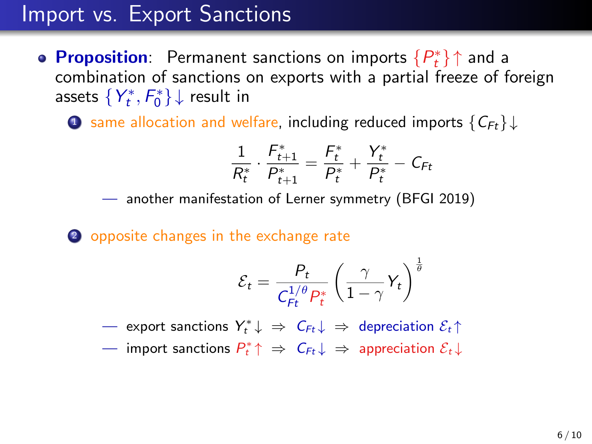**Proposition:** Permanent sanctions on imports  $\{P_t^*\}\uparrow$  and a combination of sanctions on exports with a partial freeze of foreign assets  $\{Y_t^*,F_0^*\}\downarrow$  result in

**1** same allocation and welfare, including reduced imports  $\{C_{Ft}\}\downarrow$ 

$$
\frac{1}{R_t^*} \cdot \frac{F_{t+1}^*}{P_{t+1}^*} = \frac{F_t^*}{P_t^*} + \frac{Y_t^*}{P_t^*} - C_{Ft}
$$

— another manifestation of Lerner symmetry (BFGI 2019)

2 opposite changes in the exchange rate

$$
\mathcal{E}_t = \frac{P_t}{C_{Ft}^{1/\theta} P_t^*} \left(\frac{\gamma}{1-\gamma} Y_t\right)^{\frac{1}{\theta}}
$$

 $-$  export sanctions  $Y_t^* \downarrow \Rightarrow C_{Ft} \downarrow \Rightarrow$  depreciation  $\mathcal{E}_t \uparrow$ 

 $\rightharpoonup$  import sanctions  $P_t^*\!\uparrow\;\Rightarrow\;\mathsf{C}_{Ft}\!\downarrow\;\Rightarrow\;$  appreciation  $\mathcal{E}_t\!\downarrow$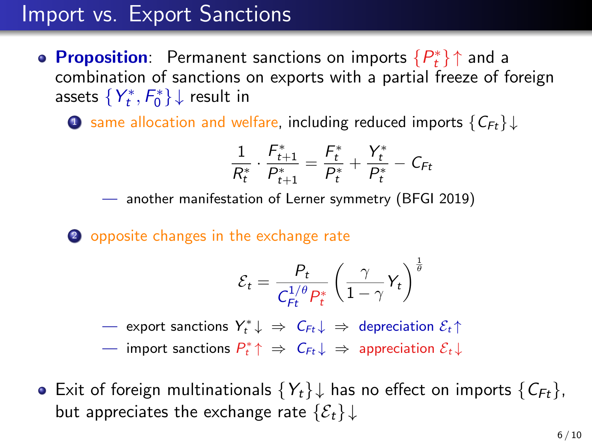**Proposition:** Permanent sanctions on imports  $\{P_t^*\}\uparrow$  and a combination of sanctions on exports with a partial freeze of foreign assets  $\{Y_t^*,F_0^*\}\downarrow$  result in

**1** same allocation and welfare, including reduced imports  $\{C_{Ft}\}\downarrow$ 

$$
\frac{1}{R_t^*} \cdot \frac{F_{t+1}^*}{P_{t+1}^*} = \frac{F_t^*}{P_t^*} + \frac{Y_t^*}{P_t^*} - C_{Ft}
$$

— another manifestation of Lerner symmetry (BFGI 2019)

2 opposite changes in the exchange rate

$$
\mathcal{E}_t = \frac{P_t}{C_{Ft}^{1/\theta} P_t^*} \left(\frac{\gamma}{1-\gamma} Y_t\right)^{\frac{1}{\theta}}
$$

 $-$  export sanctions  $Y_t^* \downarrow \Rightarrow C_{Ft} \downarrow \Rightarrow$  depreciation  $\mathcal{E}_t \uparrow$ 

 $\rightharpoonup$  import sanctions  $P_t^*\!\uparrow\;\Rightarrow\;\mathsf{C}_{Ft}\!\downarrow\;\Rightarrow\;$  appreciation  $\mathcal{E}_t\!\downarrow$ 

• Exit of foreign multinationals  $\{Y_t\}\downarrow$  has no effect on imports  $\{C_{F_t}\}\,$ but appreciates the exchange rate  $\{\mathcal{E}_t\}\downarrow$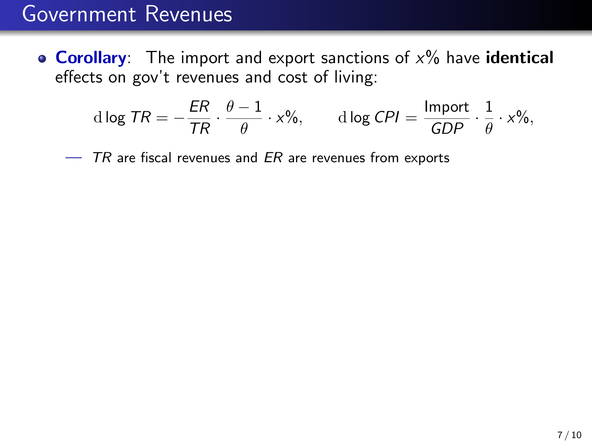• Corollary: The import and export sanctions of  $x\%$  have identical effects on gov't revenues and cost of living:

$$
d \log TR = -\frac{ER}{TR} \cdot \frac{\theta - 1}{\theta} \cdot x\%, \qquad d \log CPI = \frac{\text{Import}}{GDP} \cdot \frac{1}{\theta} \cdot x\%,
$$

 $-$  TR are fiscal revenues and ER are revenues from exports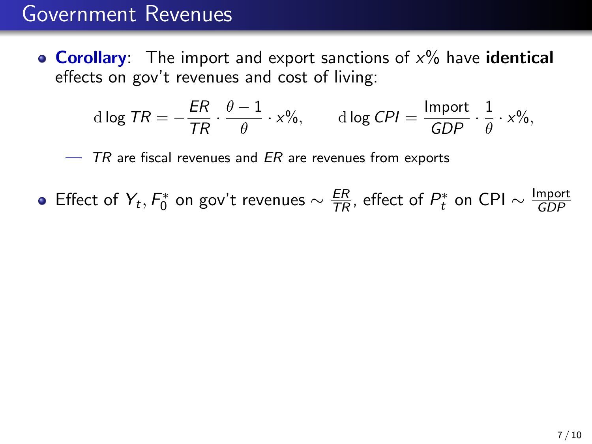• Corollary: The import and export sanctions of  $x\%$  have identical effects on gov't revenues and cost of living:

$$
d \log TR = -\frac{ER}{TR} \cdot \frac{\theta - 1}{\theta} \cdot x\%, \qquad d \log CPI = \frac{\text{Import}}{GDP} \cdot \frac{1}{\theta} \cdot x\%,
$$

 $-$  TR are fiscal revenues and ER are revenues from exports

Effect of  $Y_t$ ,  $F_0^*$  on gov't revenues  $\sim \frac{ER}{TR}$ , effect of  $P_t^*$  on CPI  $\sim \frac{\text{Import}}{GDP}$ GDP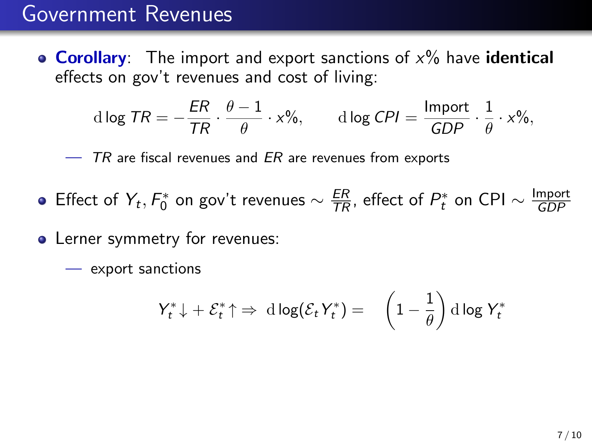• **Corollary**: The import and export sanctions of  $x\%$  have **identical** effects on gov't revenues and cost of living:

$$
d \log TR = -\frac{ER}{TR} \cdot \frac{\theta - 1}{\theta} \cdot x\%, \qquad d \log CPI = \frac{\text{Import}}{GDP} \cdot \frac{1}{\theta} \cdot x\%,
$$

 $-$  TR are fiscal revenues and ER are revenues from exports

- Effect of  $Y_t$ ,  $F_0^*$  on gov't revenues  $\sim \frac{ER}{TR}$ , effect of  $P_t^*$  on CPI  $\sim \frac{\text{Import}}{GDP}$ GDP
- Lerner symmetry for revenues:
	- export sanctions

$$
Y_t^* \downarrow + \mathcal{E}_t^* \uparrow \Rightarrow \mathrm{d} \log(\mathcal{E}_t Y_t^*) = \left(1 - \frac{1}{\theta}\right) \mathrm{d} \log Y_t^*
$$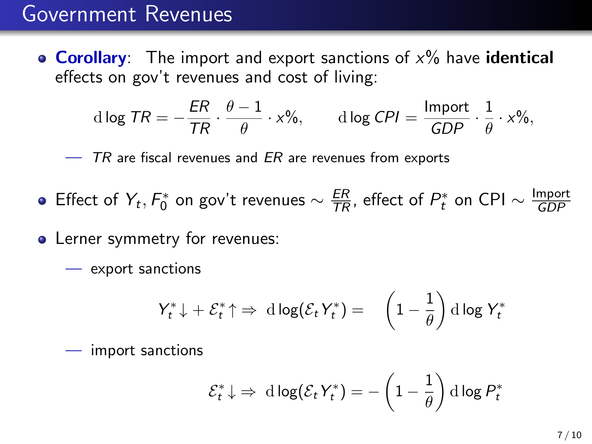• **Corollary**: The import and export sanctions of  $x\%$  have **identical** effects on gov't revenues and cost of living:

$$
d \log TR = -\frac{ER}{TR} \cdot \frac{\theta - 1}{\theta} \cdot x\%, \qquad d \log CPI = \frac{\text{Import}}{GDP} \cdot \frac{1}{\theta} \cdot x\%,
$$

 $-$  TR are fiscal revenues and ER are revenues from exports

- Effect of  $Y_t$ ,  $F_0^*$  on gov't revenues  $\sim \frac{ER}{TR}$ , effect of  $P_t^*$  on CPI  $\sim \frac{\text{Import}}{GDP}$ GDP
- Lerner symmetry for revenues:
	- export sanctions

$$
Y_t^* \downarrow + \mathcal{E}_t^* \uparrow \Rightarrow \mathrm{d} \log(\mathcal{E}_t Y_t^*) = \left(1 - \frac{1}{\theta}\right) \mathrm{d} \log Y_t^*
$$

— import sanctions

$$
\mathcal{E}_t^* \downarrow \Rightarrow \ d \log(\mathcal{E}_t Y_t^*) = -\left(1 - \frac{1}{\theta}\right) d \log P_t^*
$$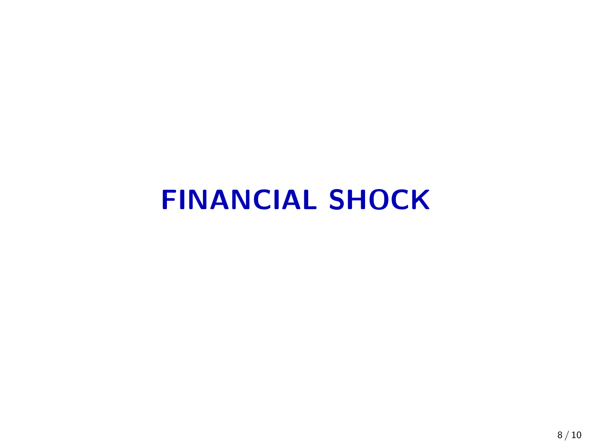## FINANCIAL SHOCK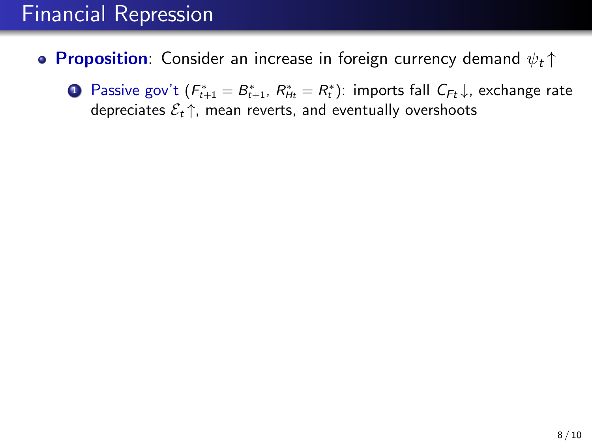- <span id="page-22-0"></span>• Proposition: Consider an increase in foreign currency demand  $\psi_t \uparrow$ 
	- **D** Passive gov't ( $F_{t+1}^* = B_{t+1}^*$ ,  $R_{Ht}^* = R_t^*$ ): imports fall  $C_{Ft} \downarrow$ , exchange rate depreciates  $\mathcal{E}_t \uparrow$ , mean reverts, and eventually overshoots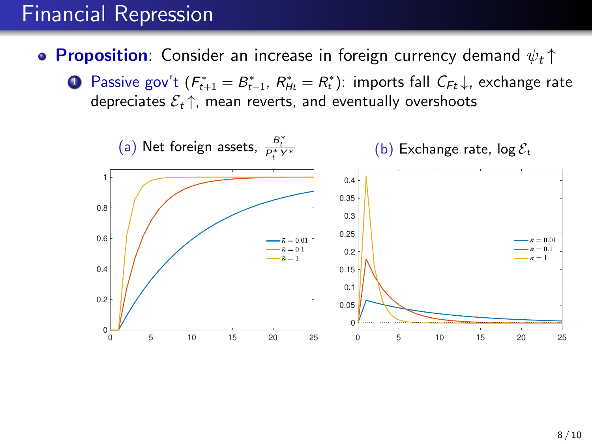- **Proposition**: Consider an increase in foreign currency demand  $\psi_t \uparrow$ 
	- **D** Passive gov't ( $F_{t+1}^* = B_{t+1}^*$ ,  $R_{Ht}^* = R_t^*$ ): imports fall  $C_{Ft} \downarrow$ , exchange rate depreciates  $\mathcal{E}_t \uparrow$ , mean reverts, and eventually overshoots

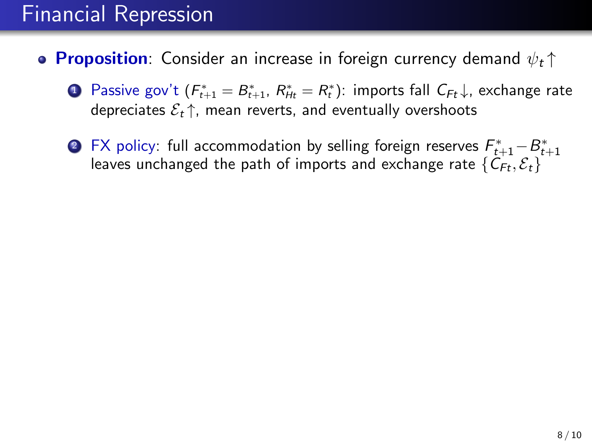- **Proposition**: Consider an increase in foreign currency demand  $\psi_t \uparrow$ 
	- **D** Passive gov't ( $F_{t+1}^* = B_{t+1}^*$ ,  $R_{Ht}^* = R_t^*$ ): imports fall  $C_{Ft} \downarrow$ , exchange rate depreciates  $\mathcal{E}_t \uparrow$ , mean reverts, and eventually overshoots
	- $\bullet$  FX policy: full accommodation by selling foreign reserves  $\mathcal{F}_{t+1}^*$   $\!-\! \mathcal{B}_{t+1}^*$ leaves unchanged the path of imports and exchange rate  $\{\tilde{C}_{Ft}, \mathcal{E}_t\}$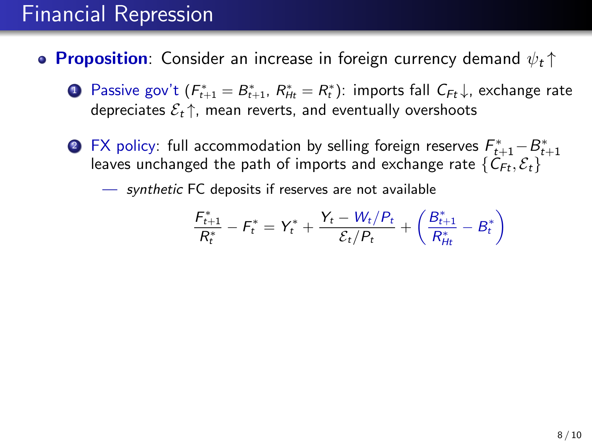- **Proposition**: Consider an increase in foreign currency demand  $\psi_t \uparrow$ 
	- **D** Passive gov't ( $F_{t+1}^* = B_{t+1}^*$ ,  $R_{Ht}^* = R_t^*$ ): imports fall  $C_{Ft} \downarrow$ , exchange rate depreciates  $\mathcal{E}_t \uparrow$ , mean reverts, and eventually overshoots
	- $\bullet$  FX policy: full accommodation by selling foreign reserves  $\mathcal{F}_{t+1}^*$   $\!-\! \mathcal{B}_{t+1}^*$ leaves unchanged the path of imports and exchange rate  $\{\tilde{C}_{Ft}, \mathcal{E}_t\}$

— synthetic FC deposits if reserves are not available

$$
\frac{F_{t+1}^*}{R_t^*} - F_t^* = Y_t^* + \frac{Y_t - W_t/P_t}{\mathcal{E}_t/P_t} + \left(\frac{B_{t+1}^*}{R_{Ht}^*} - B_t^*\right)
$$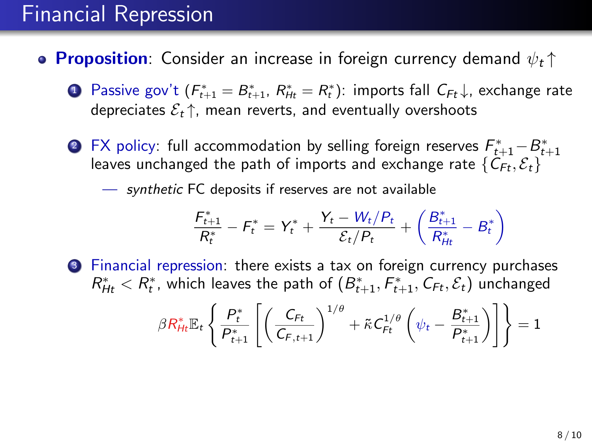- **Proposition**: Consider an increase in foreign currency demand  $\psi_t \uparrow$ 
	- **D** Passive gov't ( $F_{t+1}^* = B_{t+1}^*$ ,  $R_{Ht}^* = R_t^*$ ): imports fall  $C_{Ft} \downarrow$ , exchange rate depreciates  $\mathcal{E}_t \uparrow$ , mean reverts, and eventually overshoots
	- $\bullet$  FX policy: full accommodation by selling foreign reserves  $\mathcal{F}_{t+1}^*$   $\!-\! \mathcal{B}_{t+1}^*$ leaves unchanged the path of imports and exchange rate  $\{\tilde{C}_{Ft}, \mathcal{E}_t\}$

— synthetic FC deposits if reserves are not available

$$
\frac{F_{t+1}^*}{R_t^*} - F_t^* = Y_t^* + \frac{Y_t - W_t/P_t}{\mathcal{E}_t/P_t} + \left(\frac{B_{t+1}^*}{R_{Ht}^*} - B_t^*\right)
$$

<sup>3</sup> Financial repression: there exists a tax on foreign currency purchases  $R_{Ht}^* < R_t^*$ , which leaves the path of  $(B_{t+1}^*, F_{t+1}^*, \mathcal{C}_{Ft}, \mathcal{E}_t)$  unchanged

$$
\beta R_{Ht}^* \mathbb{E}_t \left\{ \frac{P_t^*}{P_{t+1}^*} \left[ \left( \frac{C_{Ft}}{C_{F,t+1}} \right)^{1/\theta} + \tilde{\kappa} C_{Ft}^{1/\theta} \left( \psi_t - \frac{B_{t+1}^*}{P_{t+1}^*} \right) \right] \right\} = 1
$$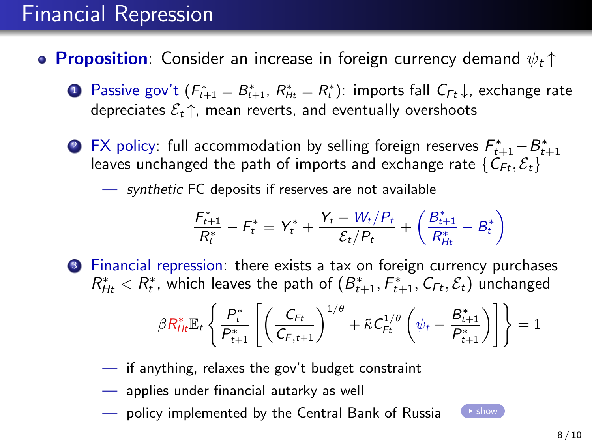- **Proposition**: Consider an increase in foreign currency demand  $\psi_t \uparrow$ 
	- **D** Passive gov't ( $F_{t+1}^* = B_{t+1}^*$ ,  $R_{Ht}^* = R_t^*$ ): imports fall  $C_{Ft} \downarrow$ , exchange rate depreciates  $\mathcal{E}_t \uparrow$ , mean reverts, and eventually overshoots
	- $\bullet$  FX policy: full accommodation by selling foreign reserves  $\mathcal{F}_{t+1}^*$   $\!-\! \mathcal{B}_{t+1}^*$ leaves unchanged the path of imports and exchange rate  $\{C_{Ft}, \mathcal{E}_t\}$

— synthetic FC deposits if reserves are not available

$$
\frac{F_{t+1}^*}{R_t^*} - F_t^* = Y_t^* + \frac{Y_t - W_t/P_t}{\mathcal{E}_t/P_t} + \left(\frac{B_{t+1}^*}{R_{Ht}^*} - B_t^*\right)
$$

Financial repression: there exists a tax on foreign currency purchases  $R_{Ht}^* < R_t^*$ , which leaves the path of  $(B_{t+1}^*, F_{t+1}^*, \mathcal{C}_{Ft}, \mathcal{E}_t)$  unchanged

$$
\beta R_{Ht}^* \mathbb{E}_t \left\{ \frac{P_{t}^*}{P_{t+1}^*} \left[ \left( \frac{C_{Ft}}{C_{F,t+1}} \right)^{1/\theta} + \tilde{\kappa} C_{Ft}^{1/\theta} \left( \psi_t - \frac{B_{t+1}^*}{P_{t+1}^*} \right) \right] \right\} = 1
$$

- if anything, relaxes the gov't budget constraint
- applies under financial autarky as well
- policy implemented by the Central Bank of Russia  $\Box$  [show](#page-33-0)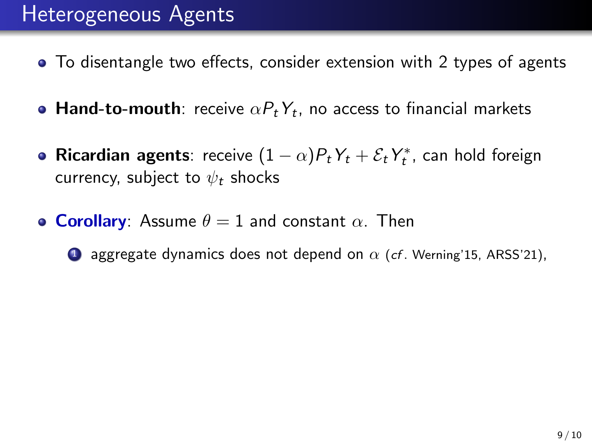## Heterogeneous Agents

- To disentangle two effects, consider extension with 2 types of agents
- **Hand-to-mouth**: receive  $\alpha P_t Y_t$ , no access to financial markets
- **Ricardian agents**: receive  $(1 \alpha)P_tY_t + \mathcal{E}_tY_t^*$ , can hold foreign currency, subject to  $\psi_t$  shocks
- **Corollary**: Assume  $\theta = 1$  and constant  $\alpha$ . Then
	- **1** aggregate dynamics does not depend on  $\alpha$  (cf. Werning'15, ARSS'21),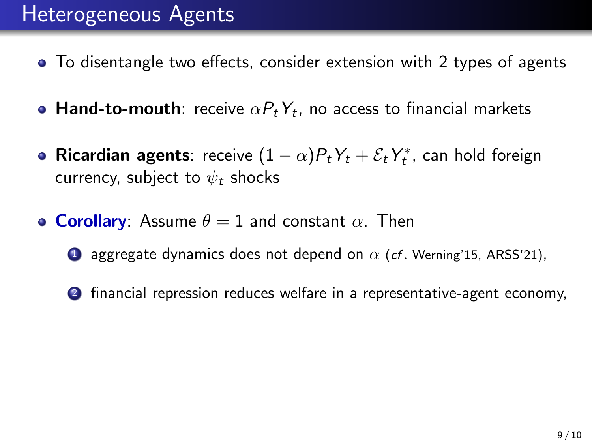## Heterogeneous Agents

- To disentangle two effects, consider extension with 2 types of agents
- **Hand-to-mouth**: receive  $\alpha P_t Y_t$ , no access to financial markets
- **Ricardian agents**: receive  $(1 \alpha)P_tY_t + \mathcal{E}_tY_t^*$ , can hold foreign currency, subject to  $\psi_t$  shocks
- **Corollary**: Assume  $\theta = 1$  and constant  $\alpha$ . Then
	- **1** aggregate dynamics does not depend on  $\alpha$  (cf. Werning'15, ARSS'21),
	- 2 financial repression reduces welfare in a representative-agent economy,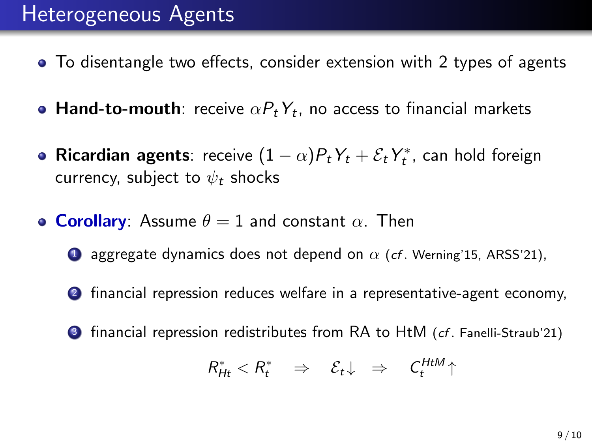## Heterogeneous Agents

- To disentangle two effects, consider extension with 2 types of agents
- **Hand-to-mouth**: receive  $\alpha P_t Y_t$ , no access to financial markets
- **Ricardian agents**: receive  $(1 \alpha)P_tY_t + \mathcal{E}_tY_t^*$ , can hold foreign currency, subject to  $\psi_t$  shocks
- **Corollary**: Assume  $\theta = 1$  and constant  $\alpha$ . Then
	- **1** aggregate dynamics does not depend on  $\alpha$  (cf. Werning'15, ARSS'21),
	- 2 financial repression reduces welfare in a representative-agent economy,
	- $\bullet$  financial repression redistributes from RA to HtM (*cf*. Fanelli-Straub'21)

$$
R_{Ht}^* < R_t^* \Rightarrow \mathcal{E}_t \downarrow \Rightarrow C_t^{HtM} \uparrow
$$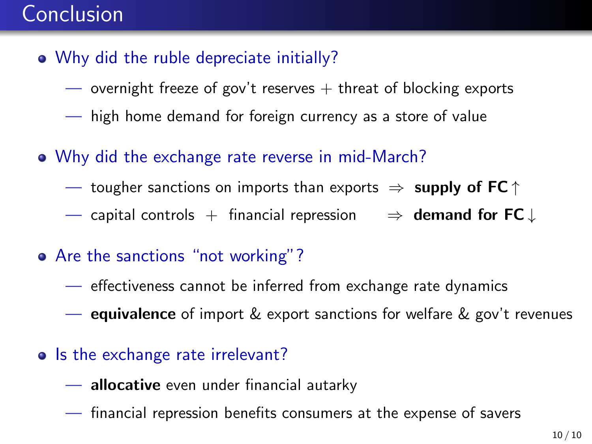## Conclusion

- Why did the ruble depreciate initially?
	- overnight freeze of gov't reserves  $+$  threat of blocking exports
	- high home demand for foreign currency as a store of value
- Why did the exchange rate reverse in mid-March?
	- tougher sanctions on imports than exports  $\Rightarrow$  supply of FC  $\uparrow$
	- capital controls + financial repression  $\Rightarrow$  **demand for FC**  $\downarrow$
- Are the sanctions "not working"?
	- effectiveness cannot be inferred from exchange rate dynamics
	- equivalence of import & export sanctions for welfare & gov't revenues
- Is the exchange rate irrelevant?
	- allocative even under financial autarky
	- financial repression benefits consumers at the expense of savers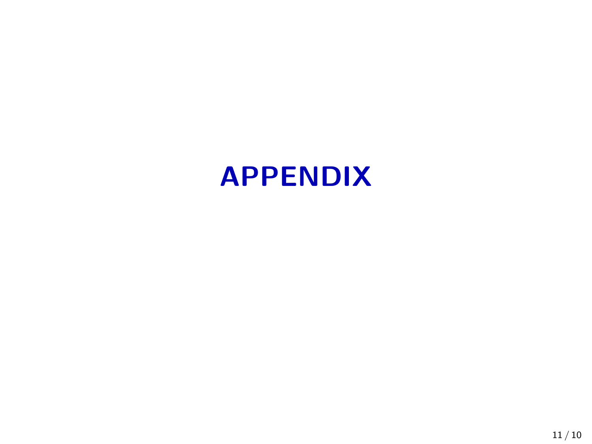## APPENDIX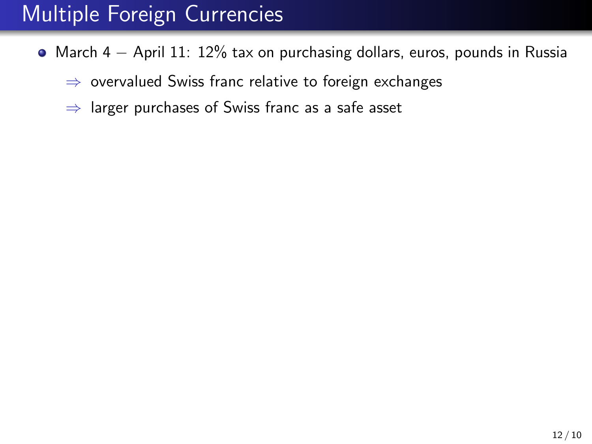## Multiple Foreign Currencies

- <span id="page-33-0"></span>March 4 − April 11: 12% tax on purchasing dollars, euros, pounds in Russia
	- ⇒ overvalued Swiss franc relative to foreign exchanges
	- $\Rightarrow$  larger purchases of Swiss franc as a safe asset